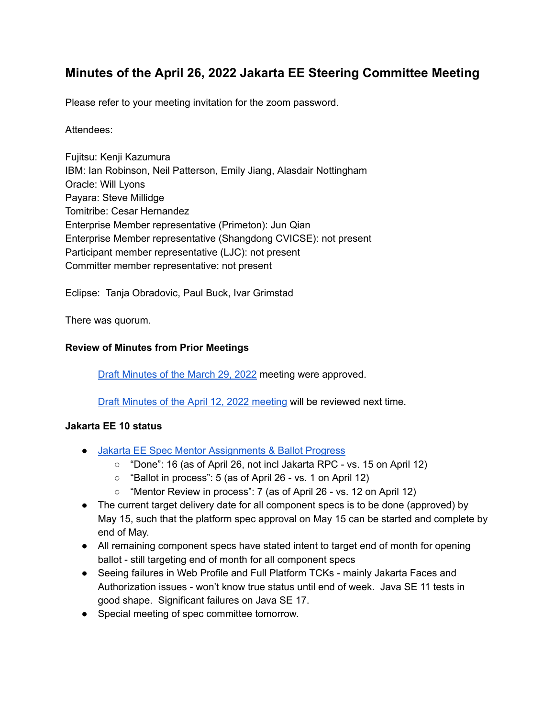# **Minutes of the April 26, 2022 Jakarta EE Steering Committee Meeting**

Please refer to your meeting invitation for the zoom password.

#### Attendees:

Fujitsu: Kenji Kazumura IBM: Ian Robinson, Neil Patterson, Emily Jiang, Alasdair Nottingham Oracle: Will Lyons Payara: Steve Millidge Tomitribe: Cesar Hernandez Enterprise Member representative (Primeton): Jun Qian Enterprise Member representative (Shangdong CVICSE): not present Participant member representative (LJC): not present Committer member representative: not present

Eclipse: Tanja Obradovic, Paul Buck, Ivar Grimstad

There was quorum.

#### **Review of Minutes from Prior Meetings**

Draft [Minutes](https://docs.google.com/document/d/1X3JY_-yLBEkvBYVtsVafb5KLSJFBZG8vfIDqRcz6LEo/edit) of the March 29, 2022 meeting were approved.

Draft Minutes of the April 12, 2022 [meeting](https://docs.google.com/document/d/1WJfrOx3WoFRPEKqZGmOqdP71ifEYVfaiyviaLAUT7_Y/edit) will be reviewed next time.

#### **Jakarta EE 10 status**

- Jakarta EE Spec Mentor [Assignments](https://docs.google.com/spreadsheets/d/1YTUpfdLZZrk2_UGwoX2w0seOCueRO3sQJIjWxpDAa7g/edit#gid=35969432) & Ballot Progress
	- "Done": 16 (as of April 26, not incl Jakarta RPC vs. 15 on April 12)
	- "Ballot in process": 5 (as of April 26 vs. 1 on April 12)
	- "Mentor Review in process": 7 (as of April 26 vs. 12 on April 12)
- The current target delivery date for all component specs is to be done (approved) by May 15, such that the platform spec approval on May 15 can be started and complete by end of May.
- All remaining component specs have stated intent to target end of month for opening ballot - still targeting end of month for all component specs
- Seeing failures in Web Profile and Full Platform TCKs mainly Jakarta Faces and Authorization issues - won't know true status until end of week. Java SE 11 tests in good shape. Significant failures on Java SE 17.
- Special meeting of spec committee tomorrow.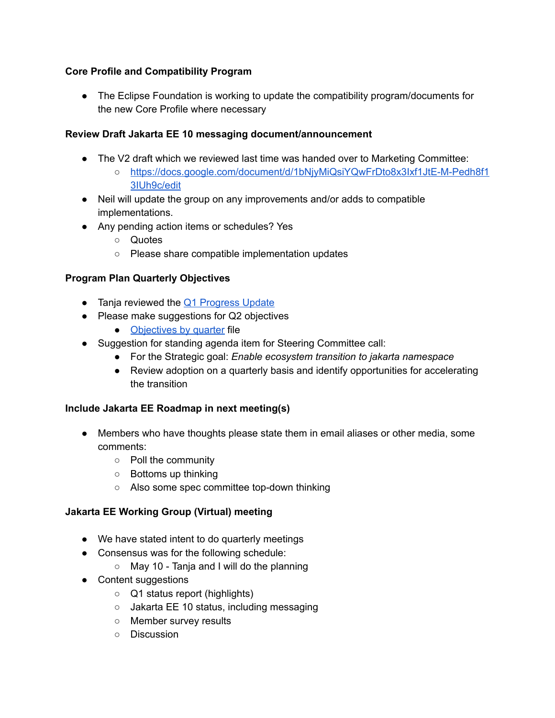## **Core Profile and Compatibility Program**

● The Eclipse Foundation is working to update the compatibility program/documents for the new Core Profile where necessary

## **Review Draft Jakarta EE 10 messaging document/announcement**

- The V2 draft which we reviewed last time was handed over to Marketing Committee:
	- [https://docs.google.com/document/d/1bNjyMiQsiYQwFrDto8x3Ixf1JtE-M-Pedh8f1](https://docs.google.com/document/d/1bNjyMiQsiYQwFrDto8x3Ixf1JtE-M-Pedh8f13IUh9c/edit) [3IUh9c/edit](https://docs.google.com/document/d/1bNjyMiQsiYQwFrDto8x3Ixf1JtE-M-Pedh8f13IUh9c/edit)
- Neil will update the group on any improvements and/or adds to compatible implementations.
- Any pending action items or schedules? Yes
	- Quotes
	- Please share compatible implementation updates

### **Program Plan Quarterly Objectives**

- Tanja reviewed the Q1 [Progress](https://docs.google.com/presentation/d/1VuoYUIf9DXmnIgU6KpVelSqHquB5kJy9LfzsvLuu9VQ/edit#slide=id.gd037bb6413_0_0) Update
- Please make suggestions for Q2 objectives
	- [Objectives](https://urldefense.com/v3/__https://docs.google.com/presentation/d/1JH_ONPYmsQxNgN-ta4Yc6AP7i3Ez1Hq1gP8PX2zbCeo/edit*slide=id.gae9757cb85_0_0__;Iw!!ACWV5N9M2RV99hQ!MV3CI0UON-LkEG759OhNOMHBd_soKFGP5--pDJofBERAri7EopJx3cDyUxe3RPZ25kuy5iq7HuWFL66aD2Uw749O_J9zQO4a2DzVfA$) by quarter file
- Suggestion for standing agenda item for Steering Committee call:
	- For the Strategic goal: *Enable ecosystem transition to jakarta namespace*
	- Review adoption on a quarterly basis and identify opportunities for accelerating the transition

### **Include Jakarta EE Roadmap in next meeting(s)**

- Members who have thoughts please state them in email aliases or other media, some comments:
	- Poll the community
	- Bottoms up thinking
	- Also some spec committee top-down thinking

### **Jakarta EE Working Group (Virtual) meeting**

- We have stated intent to do quarterly meetings
- Consensus was for the following schedule:
	- May 10 Tanja and I will do the planning
- Content suggestions
	- Q1 status report (highlights)
	- Jakarta EE 10 status, including messaging
	- Member survey results
	- Discussion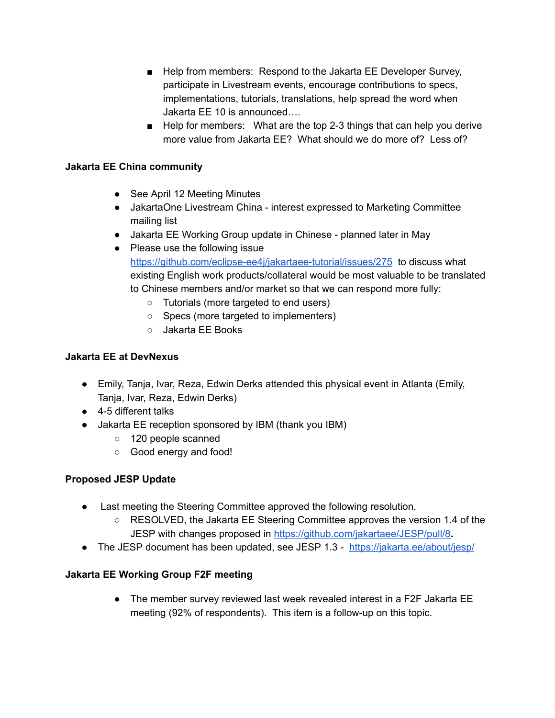- Help from members: Respond to the Jakarta EE Developer Survey, participate in Livestream events, encourage contributions to specs, implementations, tutorials, translations, help spread the word when Jakarta EE 10 is announced….
- Help for members: What are the top 2-3 things that can help you derive more value from Jakarta EE? What should we do more of? Less of?

### **Jakarta EE China community**

- See April 12 Meeting Minutes
- JakartaOne Livestream China interest expressed to Marketing Committee mailing list
- Jakarta EE Working Group update in Chinese planned later in May
- Please use the following issue <https://github.com/eclipse-ee4j/jakartaee-tutorial/issues/275> to discuss what existing English work products/collateral would be most valuable to be translated to Chinese members and/or market so that we can respond more fully:
	- Tutorials (more targeted to end users)
	- Specs (more targeted to implementers)
	- Jakarta EE Books

## **Jakarta EE at DevNexus**

- Emily, Tanja, Ivar, Reza, Edwin Derks attended this physical event in Atlanta (Emily, Tanja, Ivar, Reza, Edwin Derks)
- 4-5 different talks
- Jakarta EE reception sponsored by IBM (thank you IBM)
	- 120 people scanned
	- Good energy and food!

## **Proposed JESP Update**

- Last meeting the Steering Committee approved the following resolution.
	- RESOLVED, the Jakarta EE Steering Committee approves the version 1.4 of the JESP with changes proposed in <https://github.com/jakartaee/JESP/pull/8>**.**
- The JESP document has been updated, see JESP 1.3 <https://jakarta.ee/about/jesp/>

### **Jakarta EE Working Group F2F meeting**

• The member survey reviewed last week revealed interest in a F2F Jakarta EE meeting (92% of respondents). This item is a follow-up on this topic.